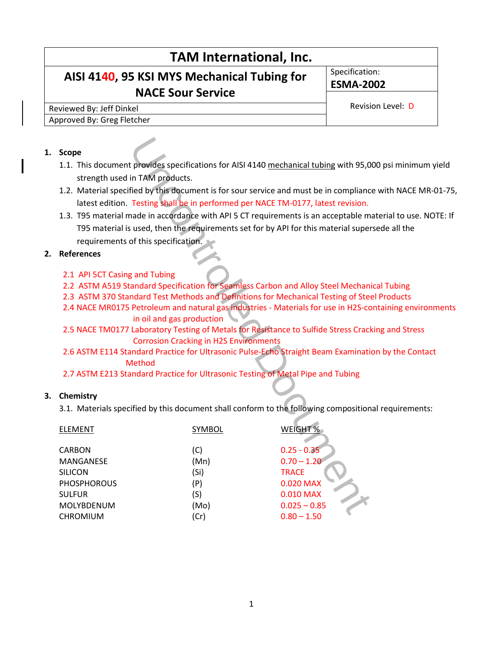# **TAM International, Inc. AISI 4140, 95 KSI MYS Mechanical Tubing for NACE Sour Service** Specification: **ESMA-2002** Reviewed By: Jeff Dinkel Revision Level: D Approved By: Greg Fletcher

#### **1. Scope**

- 1.1. This document provides specifications for AISI 4140 mechanical tubing with 95,000 psi minimum yield strength used in TAM products.
- 1.2. Material specified by this document is for sour service and must be in compliance with NACE MR-01-75, latest edition. Testing shall be in performed per NACE TM-0177, latest revision.
- 1.3. T95 material made in accordance with API 5 CT requirements is an acceptable material to use. NOTE: If T95 material is used, then the requirements set for by API for this material supersede all the requirements of this specification.

### **2. References**

- 2.1 API 5CT Casing and Tubing
- 2.2 ASTM A519 Standard Specification for Seamless Carbon and Alloy Steel Mechanical Tubing
- 2.3 ASTM 370 Standard Test Methods and Definitions for Mechanical Testing of Steel Products
- 2.4 NACE MR0175 Petroleum and natural gas industries Materials for use in H2S-containing environments in oil and gas production
- 2.5 NACE TM0177 Laboratory Testing of Metals for Resistance to Sulfide Stress Cracking and Stress Corrosion Cracking in H2S Environments
- 2.6 ASTM E114 Standard Practice for Ultrasonic Pulse-Echo Straight Beam Examination by the Contact Method
- 2.7 ASTM E213 Standard Practice for Ultrasonic Testing of Metal Pipe and Tubing

### **3. Chemistry**

3.1. Materials specified by this document shall conform to the following compositional requirements:

| <b>Scope</b>                                                                                  |                                               |                               |
|-----------------------------------------------------------------------------------------------|-----------------------------------------------|-------------------------------|
| 1.1. This document provides specifications for AISI 4140 mechanical tubing with 95,0          |                                               |                               |
| strength used in TAM products.                                                                |                                               |                               |
| 1.2. Material specified by this document is for sour service and must be in compliance        |                                               |                               |
| latest edition. Testing shall be in performed per NACE TM-0177, latest revision.              |                                               |                               |
| 1.3. T95 material made in accordance with API 5 CT requirements is an acceptable ma           |                                               |                               |
| T95 material is used, then the requirements set for by API for this material super            |                                               |                               |
| requirements of this specification.                                                           |                                               |                               |
| <b>References</b>                                                                             |                                               |                               |
|                                                                                               |                                               |                               |
| 2.1 API 5CT Casing and Tubing                                                                 |                                               |                               |
| 2.2 ASTM A519 Standard Specification for Seamless Carbon and Alloy Steel Mechani              |                                               |                               |
| 2.3 ASTM 370 Standard Test Methods and Definitions for Mechanical Testing of Stee             |                                               |                               |
| 2.4 NACE MR0175 Petroleum and natural gas industries - Materials for use in H2S-co            |                                               |                               |
| in oil and gas production                                                                     |                                               |                               |
| 2.5 NACE TM0177 Laboratory Testing of Metals for Resistance to Sulfide Stress Crack           |                                               |                               |
|                                                                                               | <b>Corrosion Cracking in H2S Environments</b> |                               |
| 2.6 ASTM E114 Standard Practice for Ultrasonic Pulse-Echo Straight Beam Examination<br>Method |                                               |                               |
| 2.7 ASTM E213 Standard Practice for Ultrasonic Testing of Metal Pipe and Tubing               |                                               |                               |
|                                                                                               |                                               |                               |
| Chemistry                                                                                     |                                               |                               |
| 3.1. Materials specified by this document shall conform to the following composition          |                                               |                               |
|                                                                                               |                                               |                               |
| <b>ELEMENT</b>                                                                                | <b>SYMBOL</b>                                 | <b>WEIGHT %</b>               |
|                                                                                               |                                               |                               |
| <b>CARBON</b>                                                                                 | (C)                                           | $0.25 - 0.35$                 |
| MANGANESE<br><b>SILICON</b>                                                                   | (Mn)<br>(Si)                                  | $0.70 - 1.20$<br><b>TRACE</b> |
| <b>PHOSPHOROUS</b>                                                                            | (P)                                           | 0.020 MAX                     |
| <b>SULFUR</b>                                                                                 | (S)                                           | 0.010 MAX                     |
| MOLYBDENUM                                                                                    | (Mo)                                          | $0.025 - 0.85$                |
| CHROMIUM                                                                                      | (Cr)                                          | $0.80 - 1.50$                 |
|                                                                                               |                                               |                               |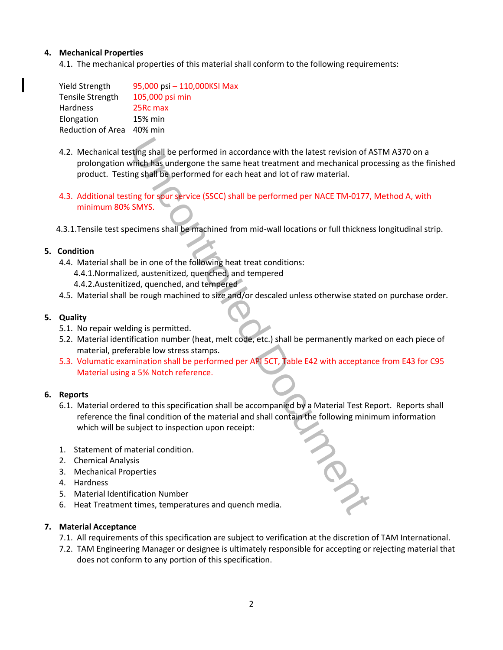## **4. Mechanical Properties**

4.1. The mechanical properties of this material shall conform to the following requirements:

| <b>Yield Strength</b>     | 95,000 psi - 110,000KSI Max |
|---------------------------|-----------------------------|
| <b>Tensile Strength</b>   | 105,000 psi min             |
| Hardness                  | 25Rc max                    |
| Elongation                | 15% min                     |
| Reduction of Area 40% min |                             |
|                           |                             |

- 4.2. Mechanical testing shall be performed in accordance with the latest revision of ASTM A370 on a prolongation which has undergone the same heat treatment and mechanical processing as the finished product. Testing shall be performed for each heat and lot of raw material. sting shall be performed in accordance with the latest revision of A<br>which has undergone the same heat treatment and mechanical pro<br>g shall be performed for each heat and lot of raw material.<br>Ing for sour service (SSCC) sh
- 4.3. Additional testing for sour service (SSCC) shall be performed per NACE TM-0177, Method A, with minimum 80% SMYS.
- 4.3.1.Tensile test specimens shall be machined from mid-wall locations or full thickness longitudinal strip.

### **5. Condition**

- 4.4. Material shall be in one of the following heat treat conditions:
	- 4.4.1.Normalized, austenitized, quenched, and tempered
	- 4.4.2.Austenitized, quenched, and tempered
- 4.5. Material shall be rough machined to size and/or descaled unless otherwise stated on purchase order.

## **5. Quality**

- 5.1. No repair welding is permitted.
- 5.2. Material identification number (heat, melt code, etc.) shall be permanently marked on each piece of material, preferable low stress stamps.
- 5.3. Volumatic examination shall be performed per API 5CT, Table E42 with acceptance from E43 for C95 Material using a 5% Notch reference.

### **6. Reports**

- 6.1. Material ordered to this specification shall be accompanied by a Material Test Report. Reports shall reference the final condition of the material and shall contain the following minimum information which will be subject to inspection upon receipt:
- 1. Statement of material condition.
- 2. Chemical Analysis
- 3. Mechanical Properties
- 4. Hardness
- 5. Material Identification Number
- 6. Heat Treatment times, temperatures and quench media.

### **7. Material Acceptance**

- 7.1. All requirements of this specification are subject to verification at the discretion of TAM International.
- 7.2. TAM Engineering Manager or designee is ultimately responsible for accepting or rejecting material that does not conform to any portion of this specification.